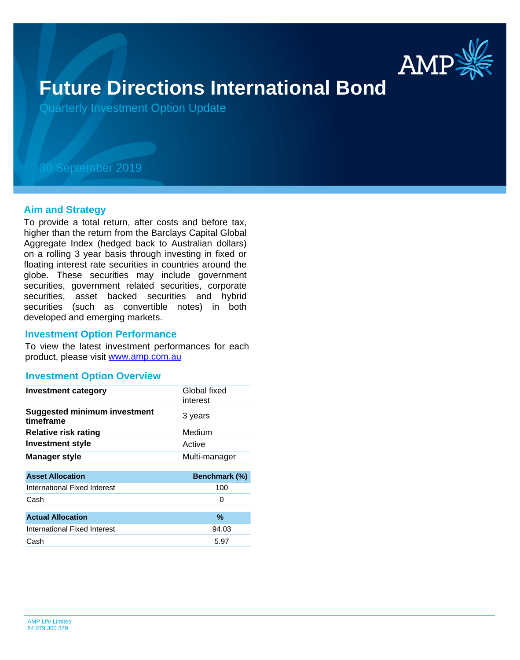

# **Future Directions International Bond**

Quarterly Investment Option Update

## 30 September 2019

#### **Aim and Strategy**

To provide a total return, after costs and before tax, higher than the return from the Barclays Capital Global Aggregate Index (hedged back to Australian dollars) on a rolling 3 year basis through investing in fixed or floating interest rate securities in countries around the globe. These securities may include government securities, government related securities, corporate securities, asset backed securities and hybrid securities (such as convertible notes) in both developed and emerging markets.

#### **Investment Option Performance**

product, please visit [www.amp.com.au](https://www.amp.com.au) To view the latest investment performances for each

#### **Investment Option Overview**

| <b>Investment category</b>                       | Global fixed<br>interest |
|--------------------------------------------------|--------------------------|
| <b>Suggested minimum investment</b><br>timeframe | 3 years                  |
| <b>Relative risk rating</b>                      | Medium                   |
| Investment style                                 | Active                   |
| <b>Manager style</b>                             | Multi-manager            |
|                                                  |                          |
| <b>Asset Allocation</b>                          | Benchmark (%)            |
| International Fixed Interest                     | 100                      |
| Cash                                             | 0                        |
|                                                  |                          |
| <b>Actual Allocation</b>                         | $\%$                     |
| International Fixed Interest                     | 94.03                    |
| Cash                                             | 5.97                     |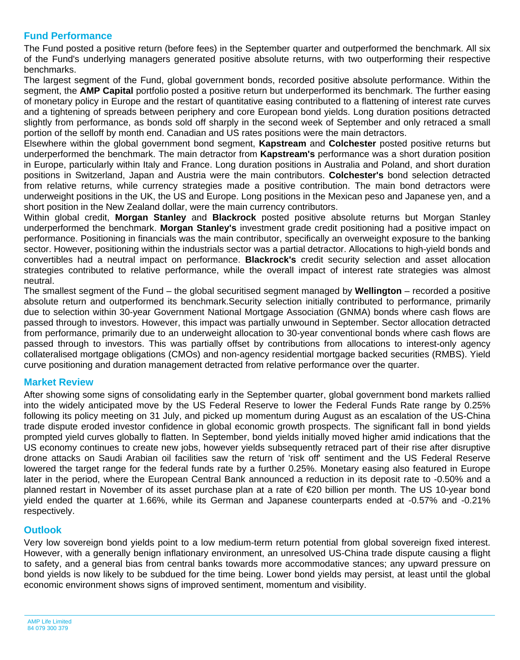### **Fund Performance**

The Fund posted a positive return (before fees) in the September quarter and outperformed the benchmark. All six of the Fund's underlying managers generated positive absolute returns, with two outperforming their respective benchmarks.

The largest segment of the Fund, global government bonds, recorded positive absolute performance. Within the segment, the **AMP Capital** portfolio posted a positive return but underperformed its benchmark. The further easing of monetary policy in Europe and the restart of quantitative easing contributed to a flattening of interest rate curves and a tightening of spreads between periphery and core European bond yields. Long duration positions detracted slightly from performance, as bonds sold off sharply in the second week of September and only retraced a small portion of the selloff by month end. Canadian and US rates positions were the main detractors.

Elsewhere within the global government bond segment, **Kapstream** and **Colchester** posted positive returns but underperformed the benchmark. The main detractor from **Kapstream's** performance was a short duration position in Europe, particularly within Italy and France. Long duration positions in Australia and Poland, and short duration positions in Switzerland, Japan and Austria were the main contributors. **Colchester's** bond selection detracted from relative returns, while currency strategies made a positive contribution. The main bond detractors were underweight positions in the UK, the US and Europe. Long positions in the Mexican peso and Japanese yen, and a short position in the New Zealand dollar, were the main currency contributors.

Within global credit, **Morgan Stanley** and **Blackrock** posted positive absolute returns but Morgan Stanley underperformed the benchmark. **Morgan Stanley's** investment grade credit positioning had a positive impact on performance. Positioning in financials was the main contributor, specifically an overweight exposure to the banking sector. However, positioning within the industrials sector was a partial detractor. Allocations to high-yield bonds and convertibles had a neutral impact on performance. **Blackrock's** credit security selection and asset allocation strategies contributed to relative performance, while the overall impact of interest rate strategies was almost neutral.

The smallest segment of the Fund – the global securitised segment managed by **Wellington** – recorded a positive absolute return and outperformed its benchmark.Security selection initially contributed to performance, primarily due to selection within 30-year Government National Mortgage Association (GNMA) bonds where cash flows are passed through to investors. However, this impact was partially unwound in September. Sector allocation detracted from performance, primarily due to an underweight allocation to 30-year conventional bonds where cash flows are passed through to investors. This was partially offset by contributions from allocations to interest-only agency collateralised mortgage obligations (CMOs) and non-agency residential mortgage backed securities (RMBS). Yield curve positioning and duration management detracted from relative performance over the quarter.

#### **Market Review**

After showing some signs of consolidating early in the September quarter, global government bond markets rallied into the widely anticipated move by the US Federal Reserve to lower the Federal Funds Rate range by 0.25% following its policy meeting on 31 July, and picked up momentum during August as an escalation of the US-China trade dispute eroded investor confidence in global economic growth prospects. The significant fall in bond yields prompted yield curves globally to flatten. In September, bond yields initially moved higher amid indications that the US economy continues to create new jobs, however yields subsequently retraced part of their rise after disruptive drone attacks on Saudi Arabian oil facilities saw the return of 'risk off' sentiment and the US Federal Reserve lowered the target range for the federal funds rate by a further 0.25%. Monetary easing also featured in Europe later in the period, where the European Central Bank announced a reduction in its deposit rate to -0.50% and a planned restart in November of its asset purchase plan at a rate of €20 billion per month. The US 10-year bond yield ended the quarter at 1.66%, while its German and Japanese counterparts ended at -0.57% and -0.21% respectively.

#### **Outlook**

Very low sovereign bond yields point to a low medium-term return potential from global sovereign fixed interest. However, with a generally benign inflationary environment, an unresolved US-China trade dispute causing a flight to safety, and a general bias from central banks towards more accommodative stances; any upward pressure on bond yields is now likely to be subdued for the time being. Lower bond yields may persist, at least until the global economic environment shows signs of improved sentiment, momentum and visibility.